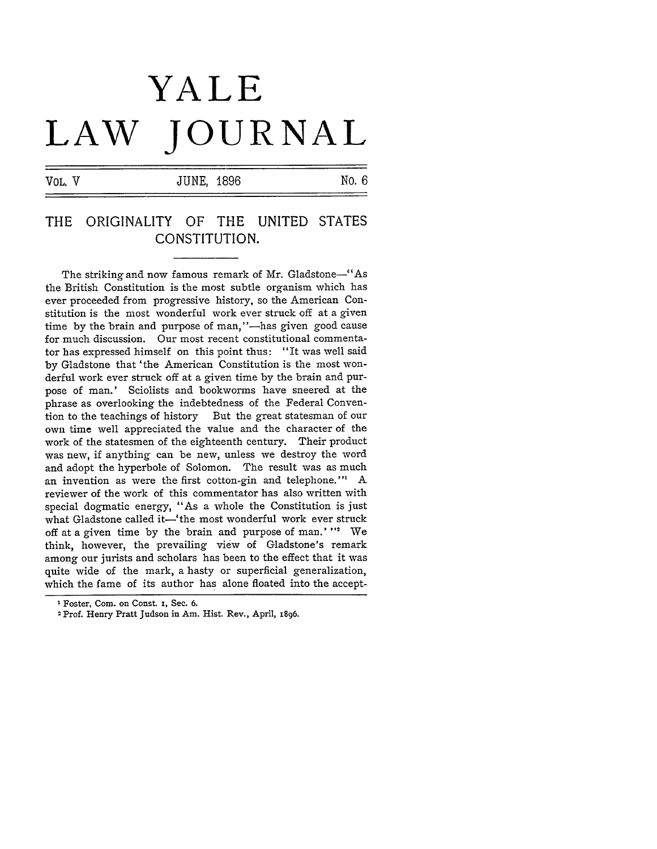## **YALE LAW JOURNAL**

VOL. V JUNE, 1896 NO. 6

## THE ORIGINALITY OF THE **UNITED STATES** CONSTITUTION.

The striking and now famous remark of Mr. Gladstone-"As the British Constitution is the most subtle organism which has ever proceeded from progressive history, so the American Constitution is the most wonderful work ever struck off at a given time by the brain and purpose of man,"—has given good cause for much discussion. Our most recent constitutional commentator has expressed himself on this point thus: "It was well said by Gladstone that 'the American Constitution is the most wonderful work ever struck off at a given time by the brain and purpose of man.' Sciolists and bookworms have sneered at the phrase as overlooking the indebtedness of the Federal Convention to the teachings of history But the great statesman of our own time well appreciated the value and the character of the work of the statesmen of the eighteenth century. Their product was new, if anything can be new, unless we destroy the word and adopt the hyperbole of Solomon. The result was as much an invention as were the first cotton-gin and telephone."' A reviewer of the work of this commentator has also written with special dogmatic energy, "As a whole the Constitution is just what Gladstone called it-'the most wonderful work ever struck off at a given time by the brain and purpose of man.' **"2** We think, however, the prevailing view of Gladstone's remark among our jurists and scholars has been to the effect that it was quite wide of the mark, a hasty or superficial generalization, which the fame of its author has alone floated into the accept-

Foster, Com. on Const. x, Sec. **6.**

<sup>&#</sup>x27; Prof. Henry Pratt Judson in Am. Hist. Rev., April, 1896.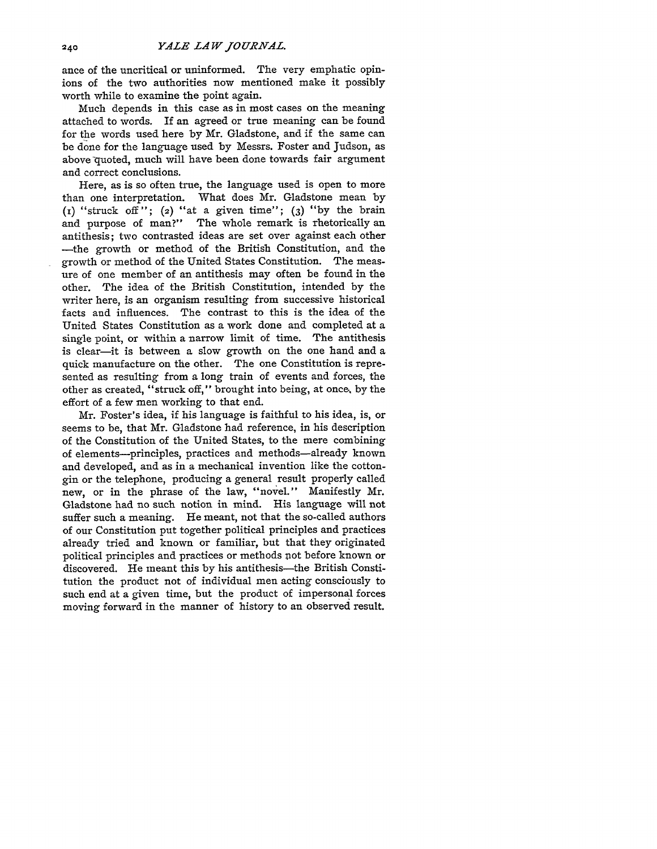ance of the uncritical or uninformed. The very emphatic opinions of the two authorities now mentioned make it possibly worth while to examine the point again.

Much depends in this case as in most cases on the meaning attached to words. If an agreed or true meaning can be found for the words used here by Mr. Gladstone, and if the same can be done for the language used by Messrs. Foster and Judson, as above quoted, much will have been done towards fair argument and correct conclusions.

Here, as is so often true, the language used is open to more than one interpretation. What does Mr. Gladstone mean **by** (i) "struck off"; (2) "at a given time"; **(3)** "by the brain and purpose of man?" The whole remark is rhetorically an antithesis; two contrasted ideas are set over against each other -the growth or method of the British Constitution, and the growth or method of the United States Constitution. The measure of one member of an antithesis may often be found in the other. The idea of the British Constitution, intended by the writer here, is an organism resulting from successive historical facts and influences. The contrast to this is the idea of the United States Constitution as a work done and completed at a single point, or within a narrow limit of time. The antithesis is clear-it is between a slow growth on the one hand and a quick manufacture on the other. The one Constitution is represented as resulting from a long train of events and forces, the other as created, "struck off," brought into being, at once, by the effort of a few men working to that end.

Mr. Foster's idea, if his language is faithful to his idea, is, or seems to be, that Mr. Gladstone had reference, in his description of the Constitution of the United States, to the mere combining of elements-principles, practices and methods-already known and developed, and as in a mechanical invention like the cottongin or the telephone, producing a general result properly called new, or in the phrase of the law, "novel." Manifestly Mr. Gladstone had no such notion in mind. His language will not suffer such a meaning. He meant, not that the so-called authors of our Constitution put together political principles and practices already tried and known or familiar, but that they originated political principles and practices or methods pot before known or discovered. He meant this by his antithesis-the British Constitution the product not of individual men acting consciously to such end at a given time, but the product of impersonal forces moving forward in the manner of history to an observed result.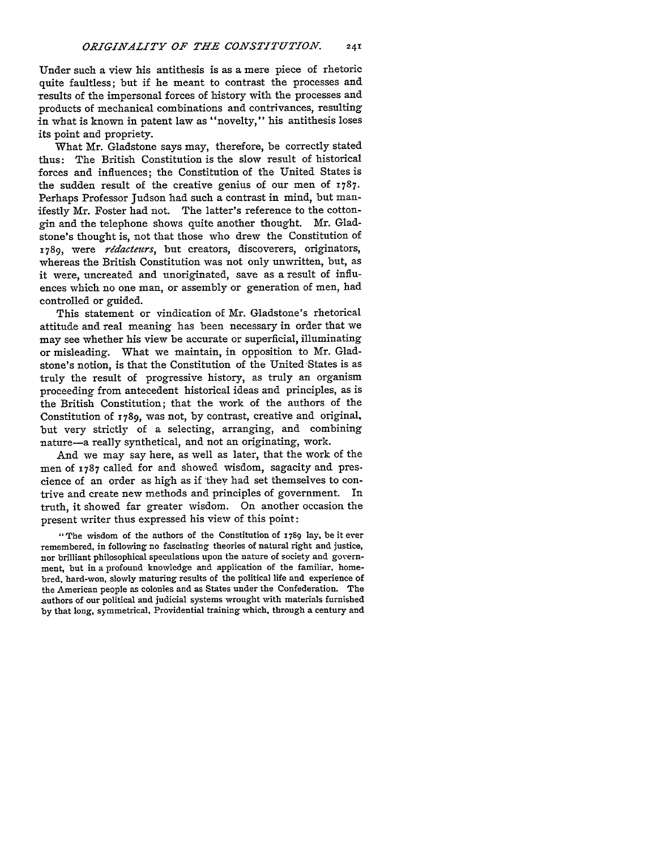Under such a view his antithesis is as a mere piece of rhetoric quite faultless; but if he meant to contrast the processes and results of the impersonal forces of history with the processes and products of mechanical combinations and contrivances, resulting in what is known in patent law as "novelty," his antithesis loses its point and propriety.

What Mr. Gladstone says may, therefore, be correctly stated thus: The British Constitution is the slow result of historical forces and influences; the Constitution of the United States is the sudden result of the creative genius of our men of 1787. Perhaps Professor Judson had such a contrast in mind, but manifestly Mr. Foster had not. The latter's reference to the cottongin and the telephone shows quite another thought. Mr. Gladstone's thought is, not that those who drew the Constitution of 1789, were *ridacteurs,* but creators, discoverers, originators, whereas the British Constitution was not only unwritten, but, as it were, uncreated and unoriginated, save as a result of influences which no one man, or assembly or generation of men, had controlled or guided.

This statement or vindication of Mr. Gladstone's rhetorical attitude and real meaning has been necessary in order that we may see whether his view be accurate or superficial, illuminating or misleading. What we maintain, in opposition to Mr. Gladstone's notion, is that the Constitution of the United-States is as truly the result of progressive history, as truly an organism proceeding from antecedent historical ideas and principles, as is the British Constitution; that the work of the authors of the Constitution of 1789, was not, by contrast, creative and original, but very strictly of a selecting, arranging, and combining nature-a really synthetical, and not an originating, work.

And we may say here, as well as later, that the work of the men of 1787 called for and showed wisdom, sagacity and prescience of an order as high as if 'they had set themselves to contrive and create new methods and principles of government. In truth, it showed far greater wisdom. On another occasion the present writer thus expressed his view of this point:

"The wisdom of the authors of the Constitution of 1789 lay, be it ever remembered, in following no fascinating theories of natural right and justice, nor brilliant philosophical speculations upon the nature of society and government, but in a profound knowledge and application of the familiar, homebred. hard-won, slowly maturing results of the political life and experience of the American people as colonies and as States under the Confederation. The authors of our political and judicial systems wrought with materials furnished by that long, symmetrical. Providential training which, through a century and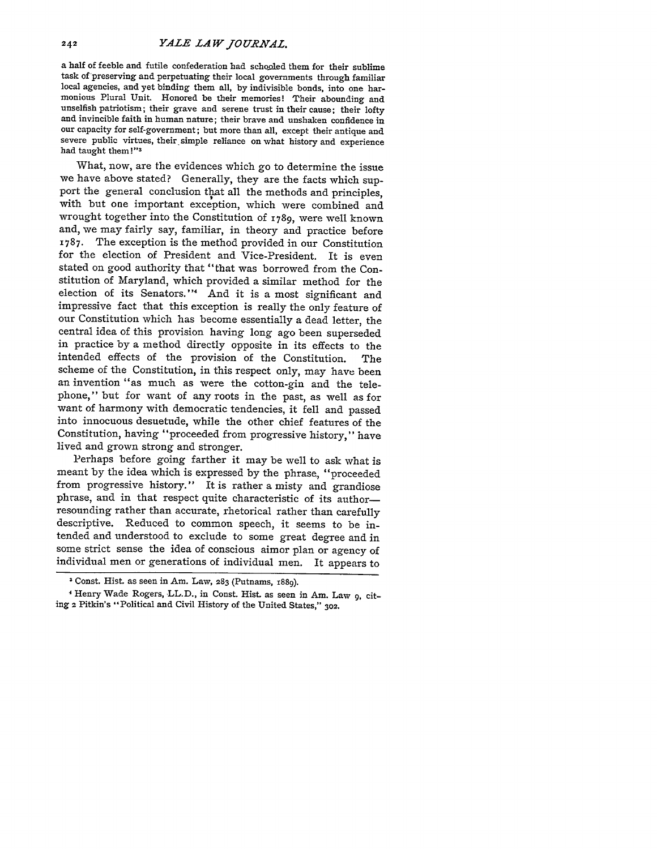a half of feeble and futile confederation had schooled them for their sublime task of'preserving and perpetuating their local governments through familiar local agencies, and yet binding them all, by indivisible bonds, into one harmonious Plural Unit. Honored be their memories! Their abounding and unselfish patriotism; their grave and serene trust in their cause; their lofty and invincible faith in human nature; their brave and unshaken confidence in our capacity for self-government; but more than all, except their antique and severe public virtues, their simple reliance on what history and ex had taught them!"<sup>3</sup>

What, now, are the evidences which go to determine the issue we have above stated? Generally, they are the facts which support the general conclusion that all the methods and principles, with but one important exception, which were combined and wrought together into the Constitution of 1789, were well known and, we may fairly say, familiar, in theory and practice before **1787.** The exception is the method provided in our Constitution for the election of President and Vice-President. It is even stated on good authority that "that was borrowed from the Constitution of Maryland, which provided a similar method for the election of its Senators. **" ' <sup>4</sup>**And it is a most significant and impressive fact that this exception is really the only feature of our Constitution which has become essentially a dead letter, the central idea of this provision having long ago been superseded in practice by a method directly opposite in its effects to the intended effects of the provision of the Constitution. The scheme of the Constitution, in this respect only, may have been an invention "as much as were the cotton-gin and the telephone," but for want of any roots in the past, as well as for want of harmony with democratic tendencies, it fell and passed into innocuous desuetude, while the other chief features of the Constitution, having "proceeded from progressive history," have lived and grown strong and stronger.

Perhaps before going farther it may be well to ask what is meant by the idea which is expressed by the phrase, "proceeded from progressive history." It is rather a misty and grandiose phrase, and in that respect quite characteristic of its authorresounding rather than accurate, rhetorical rather than carefully descriptive. Reduced to common speech, it seems to be intended and understood to exclude to some great degree and in some strict sense the idea of conscious aimor plan or agency of individual men or generations of individual men. It appears to

**a** Const. Hist. as seen in Am. Law, **283** (Putnams, 1889).

<sup>4</sup> Henry Wade Rogers, LL.D., in Const. Hist. as seen in Am. Law 9, citing 2 Pitkin's "Political and Civil History of the United States," 302.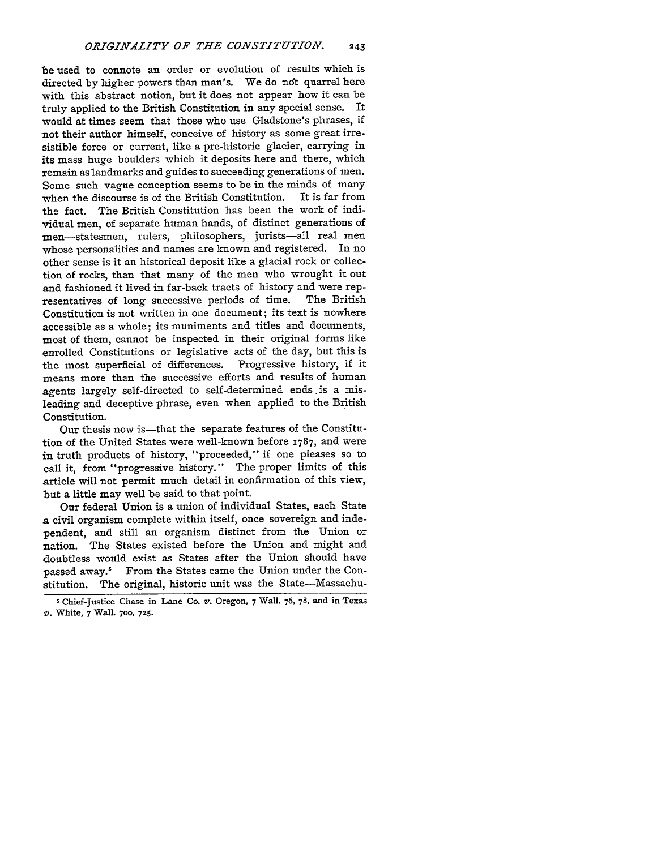be used to connote an order or evolution of results which is directed by higher powers than man's. We do not quarrel here with this abstract notion, but it does not appear how it can be truly applied to the British Constitution in any special sense. It would at times seem that those who use Gladstone's phrases, if not their author himself, conceive of history as some great irresistible force or current, like a pre-historic glacier, carrying in its mass huge boulders which it deposits here and there, which remain as landmarks and guides to succeeding generations of men. Some such vague conception seems to be in the minds of many when the discourse is of the British Constitution. It is far from when the discourse is of the British Constitution. the fact. The British Constitution has been the work of individual men, of separate human hands, of distinct generations of men-statesmen, rulers, philosophers, jurists-all real men whose personalities and names are known and registered. In no other sense is it an historical deposit like a glacial rock or collection of rocks, than that many of the men who wrought it out and fashioned it lived in far-back tracts of history and were rep-<br>resentatives of long successive periods of time. The British resentatives of long successive periods of time. Constitution is not written in one document; its text is nowhere accessible as a whole; its muniments and titles and documents, most of them, cannot be inspected in their original forms like enrolled Constitutions or legislative acts of the day, but this is the most superficial of differences. Progressive history, if it the most superficial of differences. means more than the successive efforts and results of human agents largely self-directed to self-determined ends is a misleading and deceptive phrase, even when applied to the British Constitution.

Our thesis now is—that the separate features of the Constitution of the United States were well-known before 1787, and were in truth products of history, "proceeded," if one pleases so to call it, from "progressive history." The proper limits of this article will not permit much detail in confirmation of this view, but a little may well be said to that point.

Our federal Union is a union of individual States, each State a civil organism complete within itself, once sovereign and independent, and still an organism distinct from the Union or nation. The States existed before the Union and might and doubtless would exist as States after the Union should have passed away." From the States came the Union under the Constitution. The original, historic unit was the State-Massachu-

**<sup>5</sup>** Chief-Justice Chase in Lane Co. v. Oregon, 7 Wall. 76, **78,** and in Texas v. White, 7 Wall. **700, 725.**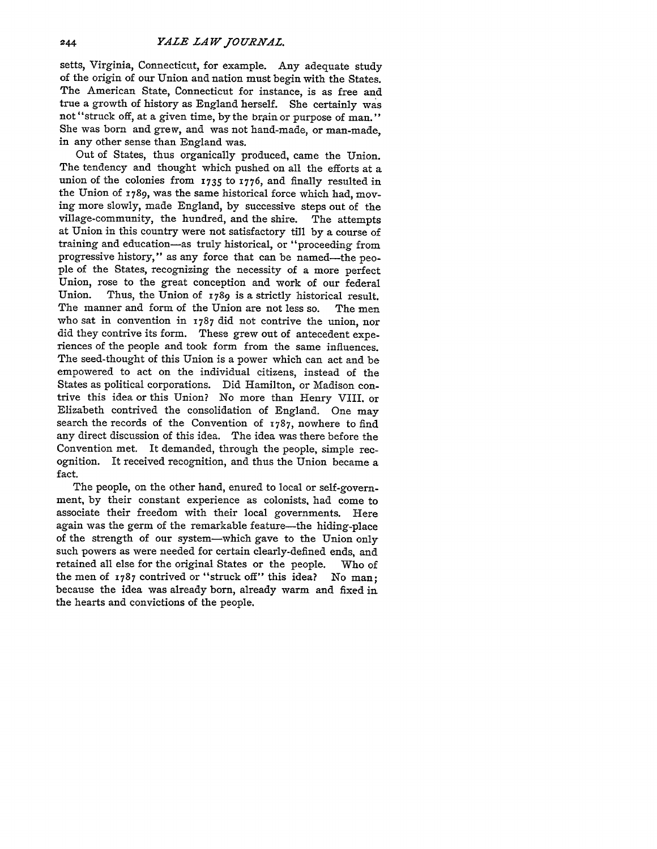setts, Virginia, Connecticut, for example. Any adequate study of the origin of our Union and nation must begin with the States. The American State, Connecticut for instance, is as free and true a growth of history as England herself. She certainly was not "struck off, at a given time, by the brain or purpose of man." She was born and grew, and was not hand-made, or man-made, in any other sense than England was.

Out of States, thus organically produced, came the Union. The tendency and thought which pushed on all the efforts at a union of the colonies from **1735** to **1776,** and finally resulted in the Union of **1789,** was the same historical force which had, moving more slowly, made England, by successive steps out of the village-community, the hundred, and the shire. The attempts at Union in this country were not satisfactory till by a course of training and education-as truly historical, or "proceeding from progressive history," as any force that can be named-the people of the States, recognizing the necessity of a more perfect Union, rose to the great conception and work of our federal Union. Thus, the Union of 1789 is a strictly historical result. The manner and form of the Union are not less so. The men who sat in convention in 1787 did not contrive the union, nor did they contrive its form. These grew out of antecedent experiences of the people and took form from the same influences. The seed-thought of this Union is a power which can act and be empowered to act on the individual citizens, instead of the States as political corporations. Did Hamilton, or Madison contrive this idea or this Union? No more than Henry VIII. or Elizabeth contrived the consolidation of England. One may search the records of the Convention of **1787,** nowhere to find any direct discussion of this idea. The idea was there before the Convention met. It demanded, through the people, simple recognition. It received recognition, and thus the Union became a fact.

The people, on the other hand, enured to local or self-government, by their constant experience as colonists, had come to associate their freedom with their local governments. Here again was the germ of the remarkable feature-the hiding-place of the strength of our system-which gave to the Union only such powers as were needed for certain clearly-defined ends, and retained all else for the original States or the people. Who of the men of **1787** contrived or "struck off" this idea? No man; because the idea was already born, already warm and fixed in the hearts and convictions of the people.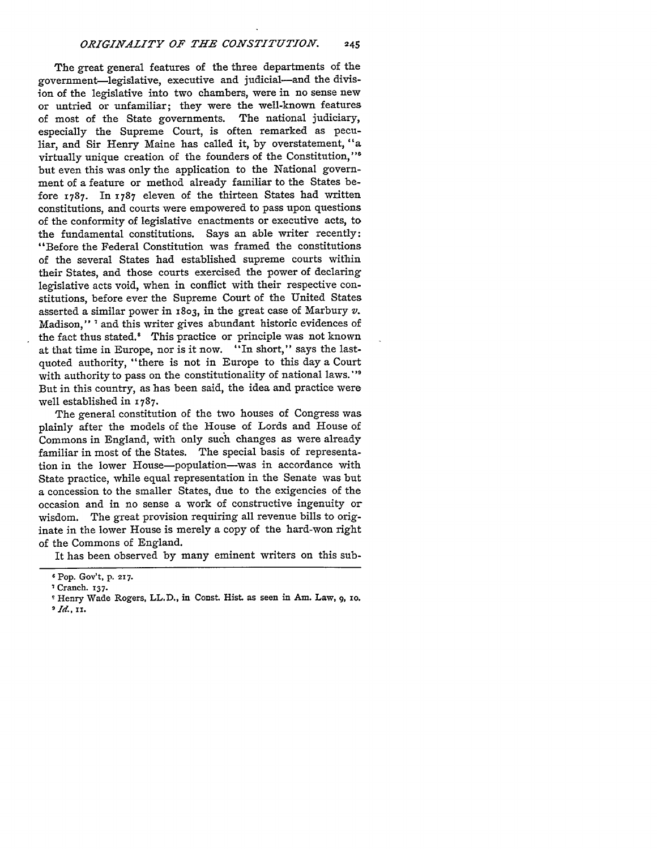The great general features of the three departments of the government-legislative, executive and judicial-and the division of the legislative into two chambers, were in no sense new or untried or unfamiliar; they were the well-known features of most of the State governments. The national judiciary, especially the Supreme Court, is often remarked as peculiar, and Sir Henry Maine has called it, by overstatement, "a virtually unique creation of the founders of the Constitution,' ' " but even this was only the application to the National government of a feature or method already familiar to the States before 1787. In 1787 eleven of the thirteen States had written constitutions, and courts were empowered to pass upon questions of the conformity of legislative enactments or executive acts, to the fundamental constitutions. Says an able writer recently: "Before the Federal Constitution was framed the constitutions of the several States had established supreme courts within their States, and those courts exercised the power of declaring legislative acts void, when in conflict with their respective constitutions, before ever the Supreme Court of the United States asserted a similar power in 1803, in the great case of Marbury  $v$ . Madison," **'** and this writer gives abundant historic evidences of the fact thus stated.<sup>8</sup> This practice or principle was not known at that time in Europe, nor is it now. "In short," says the lastquoted authority, "there is not in Europe to this day a Court with authority to pass on the constitutionality of national laws."<sup>9</sup> But in this country, as has been said, the idea and practice were well established in 1787.

The general constitution of the two houses of Congress was plainly after the models of the House of Lords and House of Commons in England, with only such changes as were already familiar in most of the States. The special basis of representation in the lower House-population-was in accordance with State practice, while equal representation in the Senate was but a concession to the smaller States, due to the exigencies of the occasion and in no sense a work of constructive ingenuity or wisdom. The great provision requiring all revenue bills to originate in the lower House is merely a copy of the hard-won right of the Commons of England.

It has been observed by many eminent writers on this sub-

<sup>6</sup>Pop. Gov't, p. **217.**

Cranch. **137.**

Henry Wade Rogers, LL.D., in Const. Hist. as seen in Am. Law, 9, io. **9** *.1d., n1.*